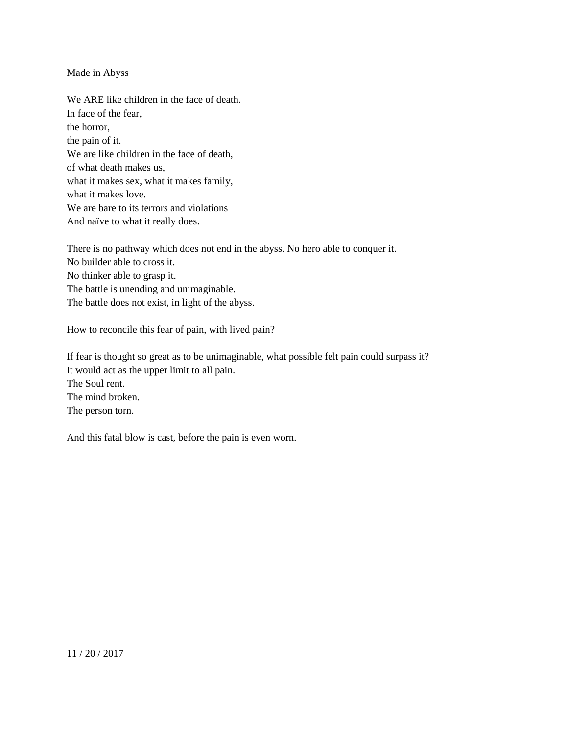## Made in Abyss

We ARE like children in the face of death. In face of the fear, the horror, the pain of it. We are like children in the face of death, of what death makes us, what it makes sex, what it makes family, what it makes love. We are bare to its terrors and violations And naïve to what it really does.

There is no pathway which does not end in the abyss. No hero able to conquer it. No builder able to cross it. No thinker able to grasp it. The battle is unending and unimaginable. The battle does not exist, in light of the abyss.

How to reconcile this fear of pain, with lived pain?

If fear is thought so great as to be unimaginable, what possible felt pain could surpass it? It would act as the upper limit to all pain. The Soul rent. The mind broken. The person torn.

And this fatal blow is cast, before the pain is even worn.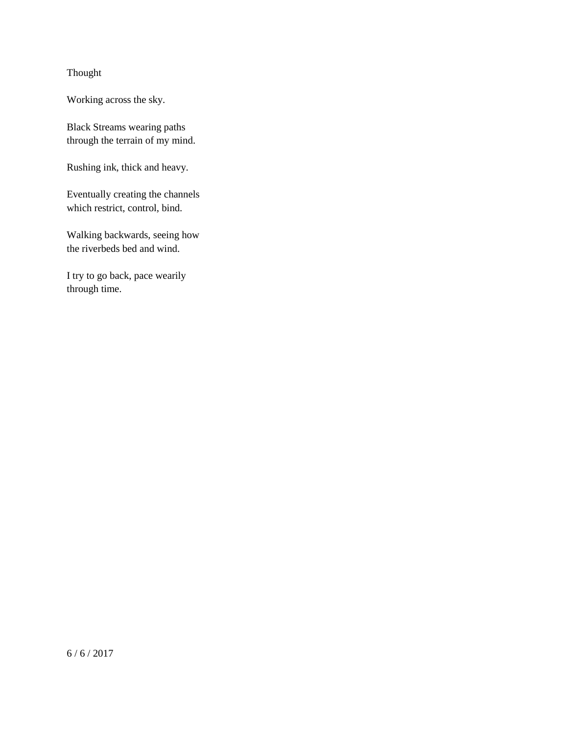## Thought

Working across the sky.

Black Streams wearing paths through the terrain of my mind.

Rushing ink, thick and heavy.

Eventually creating the channels which restrict, control, bind.

Walking backwards, seeing how the riverbeds bed and wind.

I try to go back, pace wearily through time.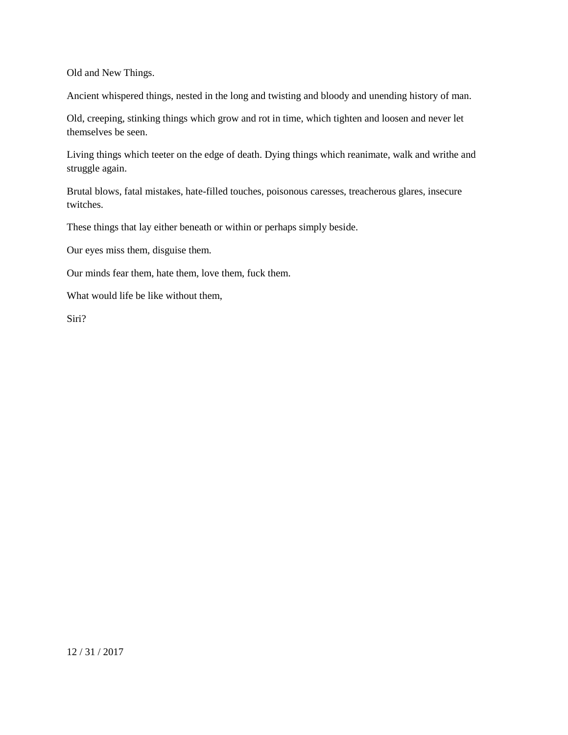Old and New Things.

Ancient whispered things, nested in the long and twisting and bloody and unending history of man.

Old, creeping, stinking things which grow and rot in time, which tighten and loosen and never let themselves be seen.

Living things which teeter on the edge of death. Dying things which reanimate, walk and writhe and struggle again.

Brutal blows, fatal mistakes, hate-filled touches, poisonous caresses, treacherous glares, insecure twitches.

These things that lay either beneath or within or perhaps simply beside.

Our eyes miss them, disguise them.

Our minds fear them, hate them, love them, fuck them.

What would life be like without them,

Siri?